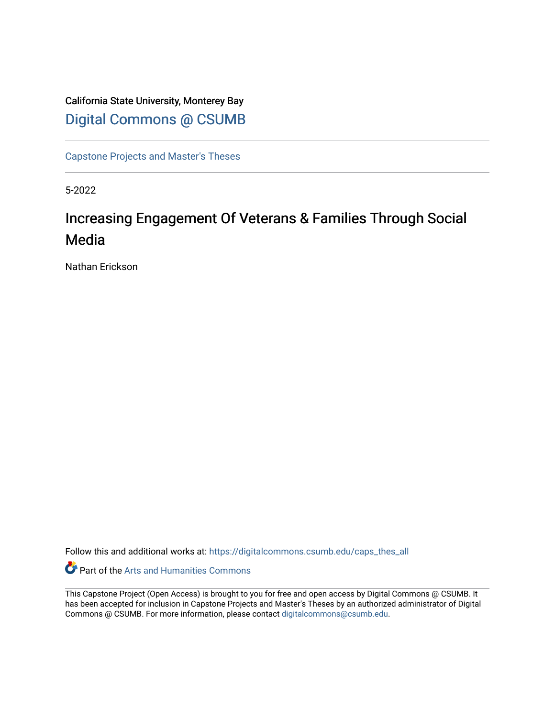### California State University, Monterey Bay [Digital Commons @ CSUMB](https://digitalcommons.csumb.edu/)

[Capstone Projects and Master's Theses](https://digitalcommons.csumb.edu/caps_thes_all)

5-2022

## Increasing Engagement Of Veterans & Families Through Social Media

Nathan Erickson

Follow this and additional works at: [https://digitalcommons.csumb.edu/caps\\_thes\\_all](https://digitalcommons.csumb.edu/caps_thes_all?utm_source=digitalcommons.csumb.edu%2Fcaps_thes_all%2F1282&utm_medium=PDF&utm_campaign=PDFCoverPages)

Part of the [Arts and Humanities Commons](https://network.bepress.com/hgg/discipline/438?utm_source=digitalcommons.csumb.edu%2Fcaps_thes_all%2F1282&utm_medium=PDF&utm_campaign=PDFCoverPages) 

This Capstone Project (Open Access) is brought to you for free and open access by Digital Commons @ CSUMB. It has been accepted for inclusion in Capstone Projects and Master's Theses by an authorized administrator of Digital Commons @ CSUMB. For more information, please contact [digitalcommons@csumb.edu](mailto:digitalcommons@csumb.edu).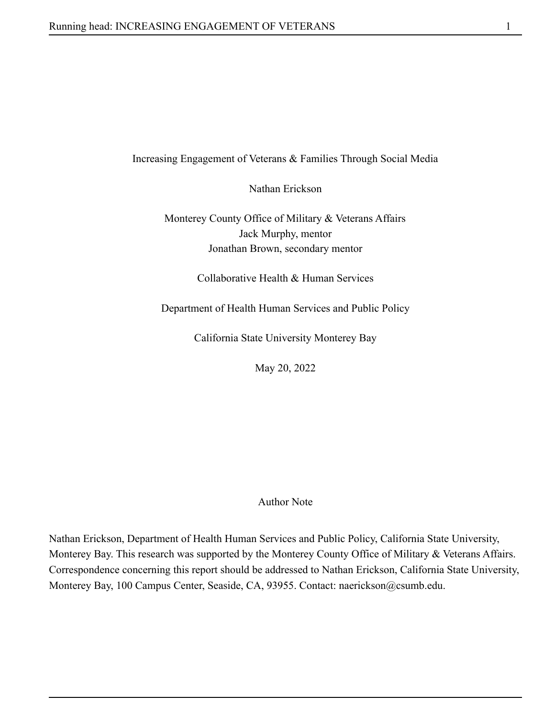#### Increasing Engagement of Veterans & Families Through Social Media

Nathan Erickson

Monterey County Office of Military & Veterans Affairs Jack Murphy, mentor Jonathan Brown, secondary mentor

Collaborative Health & Human Services

Department of Health Human Services and Public Policy

California State University Monterey Bay

May 20, 2022

Author Note

Nathan Erickson, Department of Health Human Services and Public Policy, California State University, Monterey Bay. This research was supported by the Monterey County Office of Military & Veterans Affairs. Correspondence concerning this report should be addressed to Nathan Erickson, California State University, Monterey Bay, 100 Campus Center, Seaside, CA, 93955. Contact: naerickson@csumb.edu.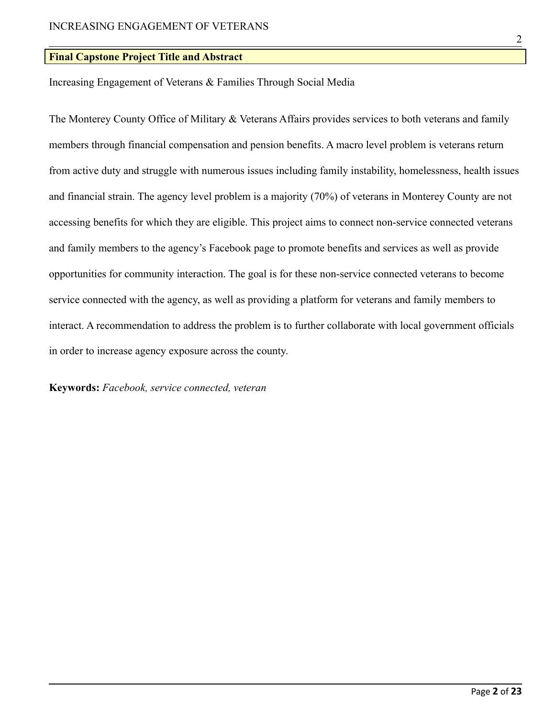#### **Final Capstone Project Title and Abstract**

Increasing Engagement of Veterans & Families Through Social Media

The Monterey County Office of Military & Veterans Affairs provides services to both veterans and family members through financial compensation and pension benefits. A macro level problem is veterans return from active duty and struggle with numerous issues including family instability, homelessness, health issues and financial strain. The agency level problem is a majority (70%) of veterans in Monterey County are not accessing benefits for which they are eligible. This project aims to connect non-service connected veterans and family members to the agency's Facebook page to promote benefits and services as well as provide opportunities for community interaction. The goal is for these non-service connected veterans to become service connected with the agency, as well as providing a platform for veterans and family members to interact. A recommendation to address the problem is to further collaborate with local government officials in order to increase agency exposure across the county.

**Keywords:** *Facebook, service connected, veteran*

2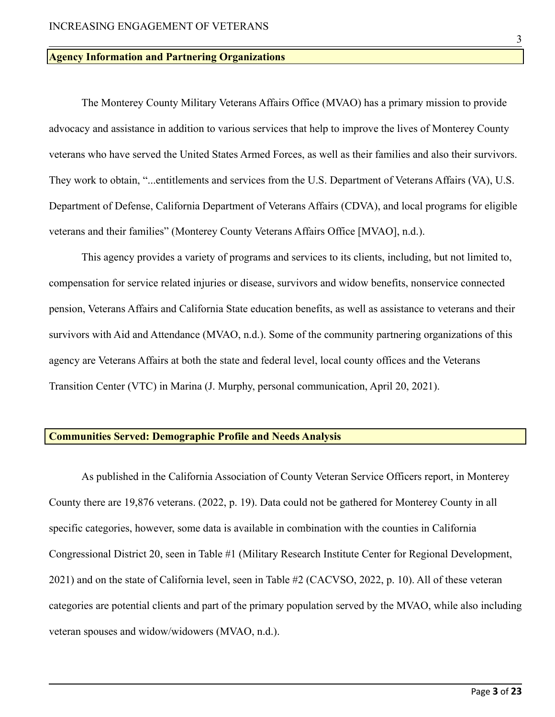#### **Agency Information and Partnering Organizations**

The Monterey County Military Veterans Affairs Office (MVAO) has a primary mission to provide advocacy and assistance in addition to various services that help to improve the lives of Monterey County veterans who have served the United States Armed Forces, as well as their families and also their survivors. They work to obtain, "...entitlements and services from the U.S. Department of Veterans Affairs (VA), U.S. Department of Defense, California Department of Veterans Affairs (CDVA), and local programs for eligible veterans and their families" (Monterey County Veterans Affairs Office [MVAO], n.d.).

This agency provides a variety of programs and services to its clients, including, but not limited to, compensation for service related injuries or disease, survivors and widow benefits, nonservice connected pension, Veterans Affairs and California State education benefits, as well as assistance to veterans and their survivors with Aid and Attendance (MVAO, n.d.). Some of the community partnering organizations of this agency are Veterans Affairs at both the state and federal level, local county offices and the Veterans Transition Center (VTC) in Marina (J. Murphy, personal communication, April 20, 2021).

#### **Communities Served: Demographic Profile and Needs Analysis**

As published in the California Association of County Veteran Service Officers report, in Monterey County there are 19,876 veterans. (2022, p. 19). Data could not be gathered for Monterey County in all specific categories, however, some data is available in combination with the counties in California Congressional District 20, seen in Table #1 (Military Research Institute Center for Regional Development, 2021) and on the state of California level, seen in Table #2 (CACVSO, 2022, p. 10). All of these veteran categories are potential clients and part of the primary population served by the MVAO, while also including veteran spouses and widow/widowers (MVAO, n.d.).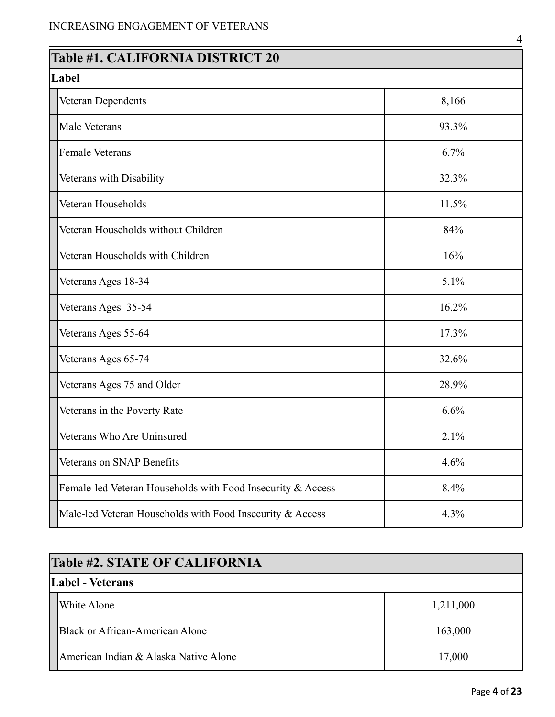| <b>Table #1. CALIFORNIA DISTRICT 20</b>                     |       |  |  |
|-------------------------------------------------------------|-------|--|--|
| Label                                                       |       |  |  |
| Veteran Dependents                                          | 8,166 |  |  |
| Male Veterans                                               | 93.3% |  |  |
| <b>Female Veterans</b>                                      | 6.7%  |  |  |
| Veterans with Disability                                    | 32.3% |  |  |
| Veteran Households                                          | 11.5% |  |  |
| Veteran Households without Children                         | 84%   |  |  |
| Veteran Households with Children                            | 16%   |  |  |
| Veterans Ages 18-34                                         | 5.1%  |  |  |
| Veterans Ages 35-54                                         | 16.2% |  |  |
| Veterans Ages 55-64                                         | 17.3% |  |  |
| Veterans Ages 65-74                                         | 32.6% |  |  |
| Veterans Ages 75 and Older                                  | 28.9% |  |  |
| Veterans in the Poverty Rate                                | 6.6%  |  |  |
| Veterans Who Are Uninsured                                  | 2.1%  |  |  |
| Veterans on SNAP Benefits                                   | 4.6%  |  |  |
| Female-led Veteran Households with Food Insecurity & Access | 8.4%  |  |  |
| Male-led Veteran Households with Food Insecurity & Access   | 4.3%  |  |  |

| <b>Table #2. STATE OF CALIFORNIA</b> |                                       |           |  |
|--------------------------------------|---------------------------------------|-----------|--|
| Label - Veterans                     |                                       |           |  |
|                                      | White Alone                           | 1,211,000 |  |
|                                      | Black or African-American Alone       | 163,000   |  |
|                                      | American Indian & Alaska Native Alone | 17,000    |  |

4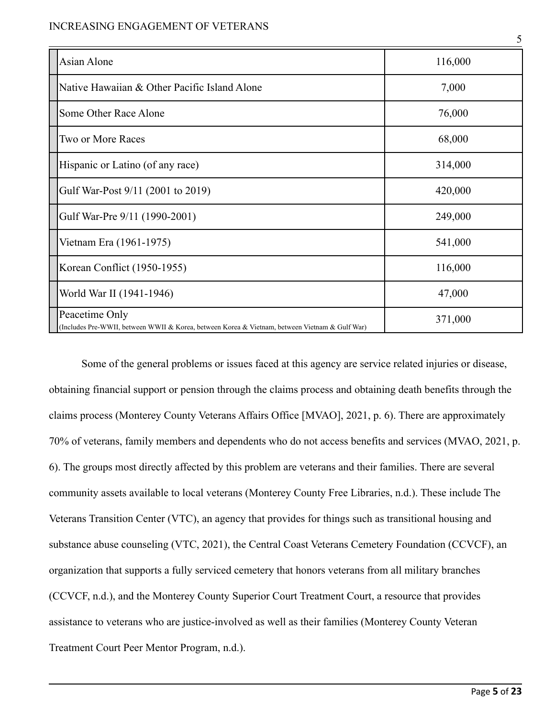#### INCREASING ENGAGEMENT OF VETERANS

| Asian Alone                                                                                                      | 116,000 |
|------------------------------------------------------------------------------------------------------------------|---------|
| Native Hawaiian & Other Pacific Island Alone                                                                     | 7,000   |
| Some Other Race Alone                                                                                            | 76,000  |
| Two or More Races                                                                                                | 68,000  |
| Hispanic or Latino (of any race)                                                                                 | 314,000 |
| Gulf War-Post 9/11 (2001 to 2019)                                                                                | 420,000 |
| Gulf War-Pre 9/11 (1990-2001)                                                                                    | 249,000 |
| Vietnam Era (1961-1975)                                                                                          | 541,000 |
| Korean Conflict (1950-1955)                                                                                      | 116,000 |
| World War II (1941-1946)                                                                                         | 47,000  |
| Peacetime Only<br>(Includes Pre-WWII, between WWII & Korea, between Korea & Vietnam, between Vietnam & Gulf War) | 371,000 |

Some of the general problems or issues faced at this agency are service related injuries or disease, obtaining financial support or pension through the claims process and obtaining death benefits through the claims process (Monterey County Veterans Affairs Office [MVAO], 2021, p. 6). There are approximately 70% of veterans, family members and dependents who do not access benefits and services (MVAO, 2021, p. 6). The groups most directly affected by this problem are veterans and their families. There are several community assets available to local veterans (Monterey County Free Libraries, n.d.). These include The Veterans Transition Center (VTC), an agency that provides for things such as transitional housing and substance abuse counseling (VTC, 2021), the Central Coast Veterans Cemetery Foundation (CCVCF), an organization that supports a fully serviced cemetery that honors veterans from all military branches (CCVCF, n.d.), and the Monterey County Superior Court Treatment Court, a resource that provides assistance to veterans who are justice-involved as well as their families (Monterey County Veteran Treatment Court Peer Mentor Program, n.d.).

5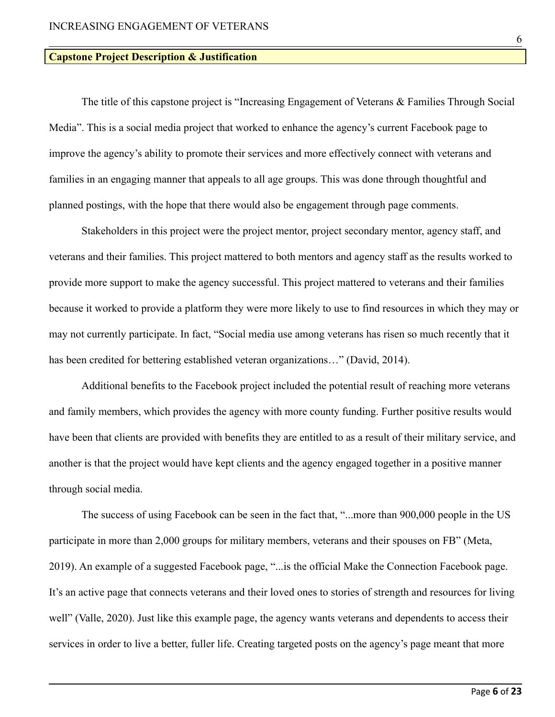#### **Capstone Project Description & Justification**

The title of this capstone project is "Increasing Engagement of Veterans & Families Through Social Media". This is a social media project that worked to enhance the agency's current Facebook page to improve the agency's ability to promote their services and more effectively connect with veterans and families in an engaging manner that appeals to all age groups. This was done through thoughtful and planned postings, with the hope that there would also be engagement through page comments.

Stakeholders in this project were the project mentor, project secondary mentor, agency staff, and veterans and their families. This project mattered to both mentors and agency staff as the results worked to provide more support to make the agency successful. This project mattered to veterans and their families because it worked to provide a platform they were more likely to use to find resources in which they may or may not currently participate. In fact, "Social media use among veterans has risen so much recently that it has been credited for bettering established veteran organizations…" (David, 2014).

Additional benefits to the Facebook project included the potential result of reaching more veterans and family members, which provides the agency with more county funding. Further positive results would have been that clients are provided with benefits they are entitled to as a result of their military service, and another is that the project would have kept clients and the agency engaged together in a positive manner through social media.

The success of using Facebook can be seen in the fact that, "...more than 900,000 people in the US participate in more than 2,000 groups for military members, veterans and their spouses on FB" (Meta, 2019). An example of a suggested Facebook page, "...is the official Make the Connection Facebook page. It's an active page that connects veterans and their loved ones to stories of strength and resources for living well" (Valle, 2020). Just like this example page, the agency wants veterans and dependents to access their services in order to live a better, fuller life. Creating targeted posts on the agency's page meant that more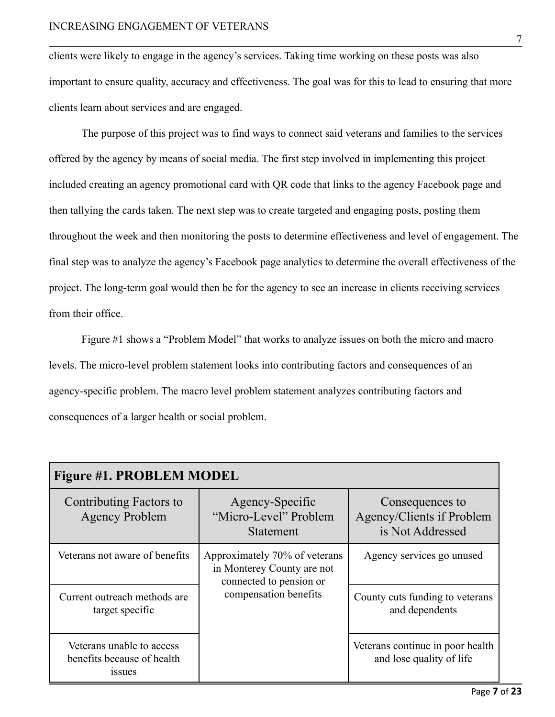clients were likely to engage in the agency's services. Taking time working on these posts was also important to ensure quality, accuracy and effectiveness. The goal was for this to lead to ensuring that more clients learn about services and are engaged.

The purpose of this project was to find ways to connect said veterans and families to the services offered by the agency by means of social media. The first step involved in implementing this project included creating an agency promotional card with QR code that links to the agency Facebook page and then tallying the cards taken. The next step was to create targeted and engaging posts, posting them throughout the week and then monitoring the posts to determine effectiveness and level of engagement. The final step was to analyze the agency's Facebook page analytics to determine the overall effectiveness of the project. The long-term goal would then be for the agency to see an increase in clients receiving services from their office.

Figure #1 shows a "Problem Model" that works to analyze issues on both the micro and macro levels. The micro-level problem statement looks into contributing factors and consequences of an agency-specific problem. The macro level problem statement analyzes contributing factors and consequences of a larger health or social problem.

| <b>Figure #1. PROBLEM MODEL</b>                                          |                                                                                                                 |                                                                  |  |
|--------------------------------------------------------------------------|-----------------------------------------------------------------------------------------------------------------|------------------------------------------------------------------|--|
| Contributing Factors to<br><b>Agency Problem</b>                         | Agency-Specific<br>"Micro-Level" Problem<br><b>Statement</b>                                                    | Consequences to<br>Agency/Clients if Problem<br>is Not Addressed |  |
| Veterans not aware of benefits                                           | Approximately 70% of veterans<br>in Monterey County are not<br>connected to pension or<br>compensation benefits | Agency services go unused                                        |  |
| Current outreach methods are<br>target specific                          |                                                                                                                 | County cuts funding to veterans<br>and dependents                |  |
| Veterans unable to access<br>benefits because of health<br><i>s</i> sues |                                                                                                                 | Veterans continue in poor health<br>and lose quality of life     |  |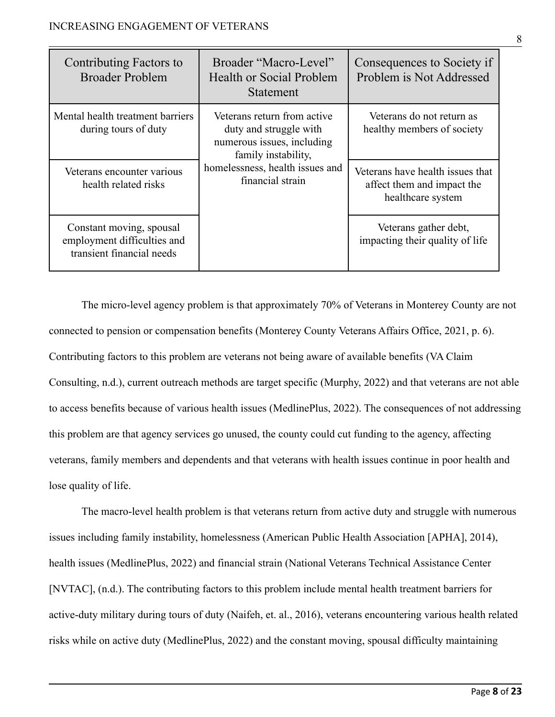| Contributing Factors to<br><b>Broader Problem</b>                                    | Broader "Macro-Level"<br><b>Health or Social Problem</b><br><b>Statement</b>                                                                                      | Consequences to Society if<br>Problem is Not Addressed                              |
|--------------------------------------------------------------------------------------|-------------------------------------------------------------------------------------------------------------------------------------------------------------------|-------------------------------------------------------------------------------------|
| Mental health treatment barriers<br>during tours of duty                             | Veterans return from active<br>duty and struggle with<br>numerous issues, including<br>family instability,<br>homelessness, health issues and<br>financial strain | Veterans do not return as<br>healthy members of society                             |
| Veterans encounter various<br>health related risks                                   |                                                                                                                                                                   | Veterans have health issues that<br>affect them and impact the<br>healthcare system |
| Constant moving, spousal<br>employment difficulties and<br>transient financial needs |                                                                                                                                                                   | Veterans gather debt,<br>impacting their quality of life                            |

The micro-level agency problem is that approximately 70% of Veterans in Monterey County are not connected to pension or compensation benefits (Monterey County Veterans Affairs Office, 2021, p. 6). Contributing factors to this problem are veterans not being aware of available benefits (VA Claim Consulting, n.d.), current outreach methods are target specific (Murphy, 2022) and that veterans are not able to access benefits because of various health issues (MedlinePlus, 2022). The consequences of not addressing this problem are that agency services go unused, the county could cut funding to the agency, affecting veterans, family members and dependents and that veterans with health issues continue in poor health and lose quality of life.

The macro-level health problem is that veterans return from active duty and struggle with numerous issues including family instability, homelessness (American Public Health Association [APHA], 2014), health issues (MedlinePlus, 2022) and financial strain (National Veterans Technical Assistance Center [NVTAC], (n.d.). The contributing factors to this problem include mental health treatment barriers for active-duty military during tours of duty (Naifeh, et. al., 2016), veterans encountering various health related risks while on active duty (MedlinePlus, 2022) and the constant moving, spousal difficulty maintaining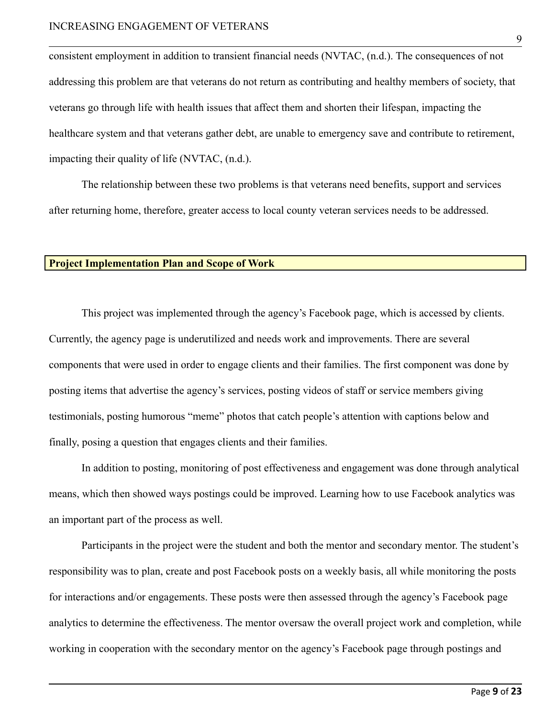#### INCREASING ENGAGEMENT OF VETERANS

consistent employment in addition to transient financial needs (NVTAC, (n.d.). The consequences of not addressing this problem are that veterans do not return as contributing and healthy members of society, that veterans go through life with health issues that affect them and shorten their lifespan, impacting the healthcare system and that veterans gather debt, are unable to emergency save and contribute to retirement, impacting their quality of life (NVTAC, (n.d.).

The relationship between these two problems is that veterans need benefits, support and services after returning home, therefore, greater access to local county veteran services needs to be addressed.

#### **Project Implementation Plan and Scope of Work**

This project was implemented through the agency's Facebook page, which is accessed by clients. Currently, the agency page is underutilized and needs work and improvements. There are several components that were used in order to engage clients and their families. The first component was done by posting items that advertise the agency's services, posting videos of staff or service members giving testimonials, posting humorous "meme" photos that catch people's attention with captions below and finally, posing a question that engages clients and their families.

In addition to posting, monitoring of post effectiveness and engagement was done through analytical means, which then showed ways postings could be improved. Learning how to use Facebook analytics was an important part of the process as well.

Participants in the project were the student and both the mentor and secondary mentor. The student's responsibility was to plan, create and post Facebook posts on a weekly basis, all while monitoring the posts for interactions and/or engagements. These posts were then assessed through the agency's Facebook page analytics to determine the effectiveness. The mentor oversaw the overall project work and completion, while working in cooperation with the secondary mentor on the agency's Facebook page through postings and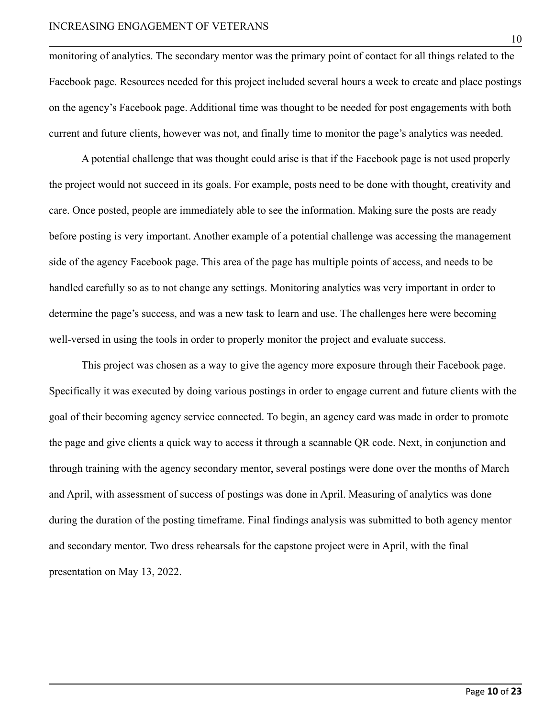monitoring of analytics. The secondary mentor was the primary point of contact for all things related to the Facebook page. Resources needed for this project included several hours a week to create and place postings on the agency's Facebook page. Additional time was thought to be needed for post engagements with both current and future clients, however was not, and finally time to monitor the page's analytics was needed.

A potential challenge that was thought could arise is that if the Facebook page is not used properly the project would not succeed in its goals. For example, posts need to be done with thought, creativity and care. Once posted, people are immediately able to see the information. Making sure the posts are ready before posting is very important. Another example of a potential challenge was accessing the management side of the agency Facebook page. This area of the page has multiple points of access, and needs to be handled carefully so as to not change any settings. Monitoring analytics was very important in order to determine the page's success, and was a new task to learn and use. The challenges here were becoming well-versed in using the tools in order to properly monitor the project and evaluate success.

This project was chosen as a way to give the agency more exposure through their Facebook page. Specifically it was executed by doing various postings in order to engage current and future clients with the goal of their becoming agency service connected. To begin, an agency card was made in order to promote the page and give clients a quick way to access it through a scannable QR code. Next, in conjunction and through training with the agency secondary mentor, several postings were done over the months of March and April, with assessment of success of postings was done in April. Measuring of analytics was done during the duration of the posting timeframe. Final findings analysis was submitted to both agency mentor and secondary mentor. Two dress rehearsals for the capstone project were in April, with the final presentation on May 13, 2022.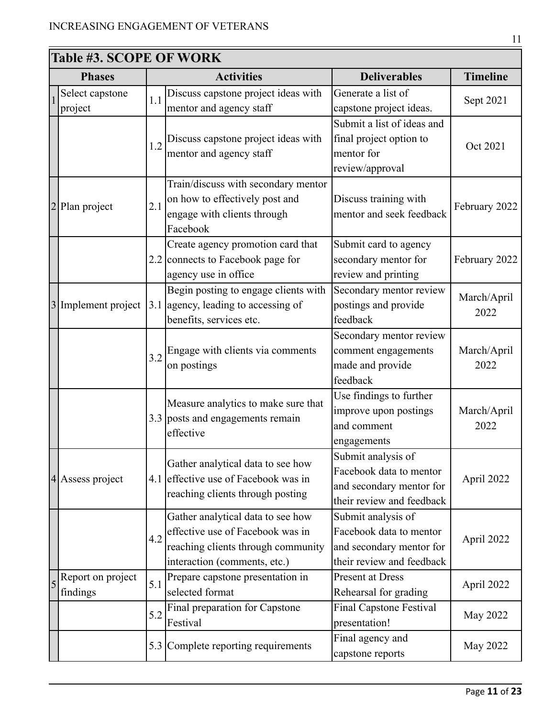| <b>Table #3. SCOPE OF WORK</b> |                               |     |                                                                                                                                             |                                                                                                        |                     |
|--------------------------------|-------------------------------|-----|---------------------------------------------------------------------------------------------------------------------------------------------|--------------------------------------------------------------------------------------------------------|---------------------|
|                                | <b>Phases</b>                 |     | <b>Activities</b>                                                                                                                           | <b>Deliverables</b>                                                                                    | <b>Timeline</b>     |
|                                | Select capstone<br>project    | 1.1 | Discuss capstone project ideas with<br>mentor and agency staff                                                                              | Generate a list of<br>capstone project ideas.                                                          | Sept 2021           |
|                                |                               | 1.2 | Discuss capstone project ideas with<br>mentor and agency staff                                                                              | Submit a list of ideas and<br>final project option to<br>mentor for<br>review/approval                 | Oct 2021            |
|                                | Plan project                  | 2.1 | Train/discuss with secondary mentor<br>on how to effectively post and<br>engage with clients through<br>Facebook                            | Discuss training with<br>mentor and seek feedback                                                      | February 2022       |
|                                |                               |     | Create agency promotion card that<br>2.2 connects to Facebook page for<br>agency use in office                                              | Submit card to agency<br>secondary mentor for<br>review and printing                                   | February 2022       |
|                                | 3 Implement project           | 3.1 | Begin posting to engage clients with<br>agency, leading to accessing of<br>benefits, services etc.                                          | Secondary mentor review<br>postings and provide<br>feedback                                            | March/April<br>2022 |
|                                |                               | 3.2 | Engage with clients via comments<br>on postings                                                                                             | Secondary mentor review<br>comment engagements<br>made and provide<br>feedback                         | March/April<br>2022 |
|                                |                               |     | Measure analytics to make sure that<br>3.3 posts and engagements remain<br>effective                                                        | Use findings to further<br>improve upon postings<br>and comment<br>engagements                         | March/April<br>2022 |
|                                | 4 Assess project              |     | Gather analytical data to see how<br>4.1 effective use of Facebook was in<br>reaching clients through posting                               | Submit analysis of<br>Facebook data to mentor<br>and secondary mentor for<br>their review and feedback | April 2022          |
|                                |                               | 4.2 | Gather analytical data to see how<br>effective use of Facebook was in<br>reaching clients through community<br>interaction (comments, etc.) | Submit analysis of<br>Facebook data to mentor<br>and secondary mentor for<br>their review and feedback | April 2022          |
| 5                              | Report on project<br>findings | 5.1 | Prepare capstone presentation in<br>selected format                                                                                         | <b>Present at Dress</b><br>Rehearsal for grading                                                       | April 2022          |
|                                |                               | 5.2 | Final preparation for Capstone<br>Festival                                                                                                  | <b>Final Capstone Festival</b><br>presentation!                                                        | May 2022            |
|                                |                               | 5.3 | Complete reporting requirements                                                                                                             | Final agency and<br>capstone reports                                                                   | May 2022            |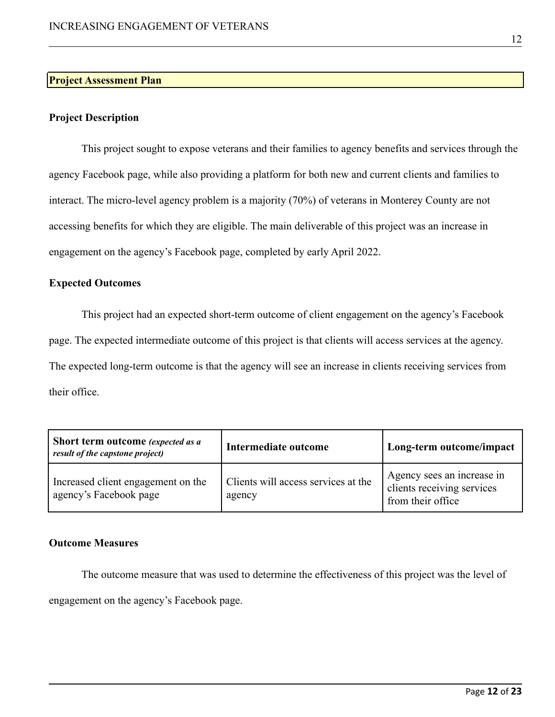#### **Project Assessment Plan**

#### **Project Description**

This project sought to expose veterans and their families to agency benefits and services through the agency Facebook page, while also providing a platform for both new and current clients and families to interact. The micro-level agency problem is a majority (70%) of veterans in Monterey County are not accessing benefits for which they are eligible. The main deliverable of this project was an increase in engagement on the agency's Facebook page, completed by early April 2022.

#### **Expected Outcomes**

This project had an expected short-term outcome of client engagement on the agency's Facebook page. The expected intermediate outcome of this project is that clients will access services at the agency. The expected long-term outcome is that the agency will see an increase in clients receiving services from their office.

| Short term outcome (expected as a<br>result of the capstone project) | Intermediate outcome                          | Long-term outcome/impact                                                      |  |
|----------------------------------------------------------------------|-----------------------------------------------|-------------------------------------------------------------------------------|--|
| Increased client engagement on the<br>agency's Facebook page         | Clients will access services at the<br>agency | Agency sees an increase in<br>clients receiving services<br>from their office |  |

#### **Outcome Measures**

The outcome measure that was used to determine the effectiveness of this project was the level of engagement on the agency's Facebook page.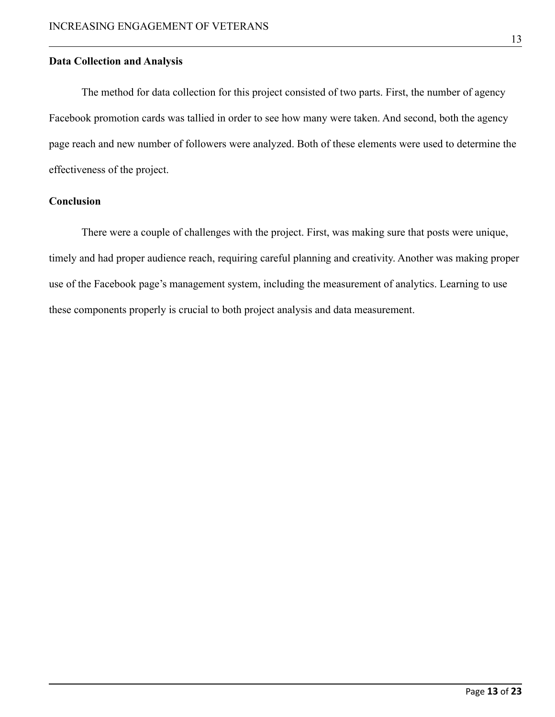#### **Data Collection and Analysis**

The method for data collection for this project consisted of two parts. First, the number of agency Facebook promotion cards was tallied in order to see how many were taken. And second, both the agency page reach and new number of followers were analyzed. Both of these elements were used to determine the effectiveness of the project.

#### **Conclusion**

There were a couple of challenges with the project. First, was making sure that posts were unique, timely and had proper audience reach, requiring careful planning and creativity. Another was making proper use of the Facebook page's management system, including the measurement of analytics. Learning to use these components properly is crucial to both project analysis and data measurement.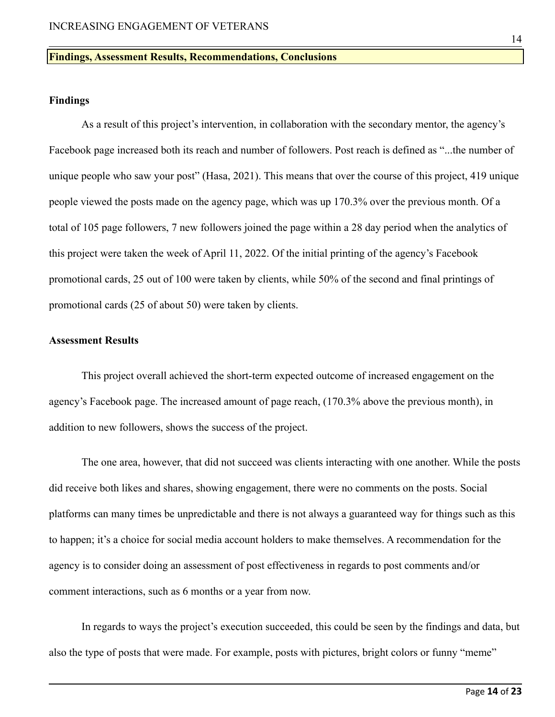#### **Findings, Assessment Results, Recommendations, Conclusions**

#### **Findings**

As a result of this project's intervention, in collaboration with the secondary mentor, the agency's Facebook page increased both its reach and number of followers. Post reach is defined as "...the number of unique people who saw your post" (Hasa, 2021). This means that over the course of this project, 419 unique people viewed the posts made on the agency page, which was up 170.3% over the previous month. Of a total of 105 page followers, 7 new followers joined the page within a 28 day period when the analytics of this project were taken the week of April 11, 2022. Of the initial printing of the agency's Facebook promotional cards, 25 out of 100 were taken by clients, while 50% of the second and final printings of promotional cards (25 of about 50) were taken by clients.

#### **Assessment Results**

This project overall achieved the short-term expected outcome of increased engagement on the agency's Facebook page. The increased amount of page reach, (170.3% above the previous month), in addition to new followers, shows the success of the project.

The one area, however, that did not succeed was clients interacting with one another. While the posts did receive both likes and shares, showing engagement, there were no comments on the posts. Social platforms can many times be unpredictable and there is not always a guaranteed way for things such as this to happen; it's a choice for social media account holders to make themselves. A recommendation for the agency is to consider doing an assessment of post effectiveness in regards to post comments and/or comment interactions, such as 6 months or a year from now.

In regards to ways the project's execution succeeded, this could be seen by the findings and data, but also the type of posts that were made. For example, posts with pictures, bright colors or funny "meme"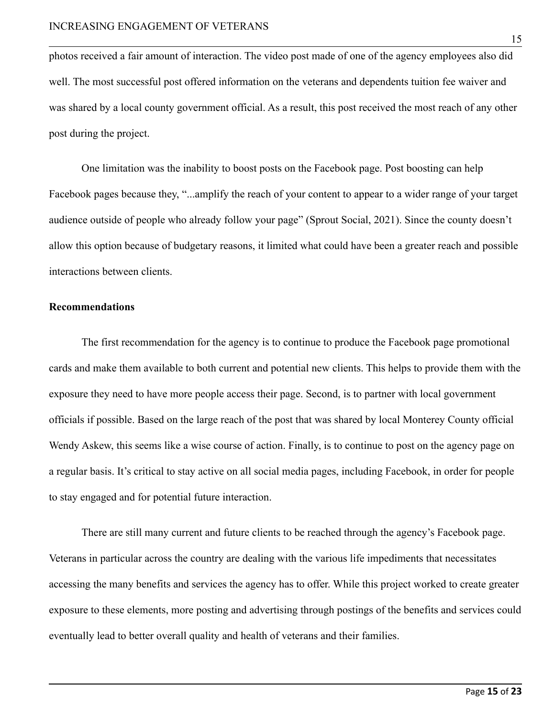photos received a fair amount of interaction. The video post made of one of the agency employees also did well. The most successful post offered information on the veterans and dependents tuition fee waiver and was shared by a local county government official. As a result, this post received the most reach of any other post during the project.

One limitation was the inability to boost posts on the Facebook page. Post boosting can help Facebook pages because they, "...amplify the reach of your content to appear to a wider range of your target audience outside of people who already follow your page" (Sprout Social, 2021). Since the county doesn't allow this option because of budgetary reasons, it limited what could have been a greater reach and possible interactions between clients.

#### **Recommendations**

The first recommendation for the agency is to continue to produce the Facebook page promotional cards and make them available to both current and potential new clients. This helps to provide them with the exposure they need to have more people access their page. Second, is to partner with local government officials if possible. Based on the large reach of the post that was shared by local Monterey County official Wendy Askew, this seems like a wise course of action. Finally, is to continue to post on the agency page on a regular basis. It's critical to stay active on all social media pages, including Facebook, in order for people to stay engaged and for potential future interaction.

There are still many current and future clients to be reached through the agency's Facebook page. Veterans in particular across the country are dealing with the various life impediments that necessitates accessing the many benefits and services the agency has to offer. While this project worked to create greater exposure to these elements, more posting and advertising through postings of the benefits and services could eventually lead to better overall quality and health of veterans and their families.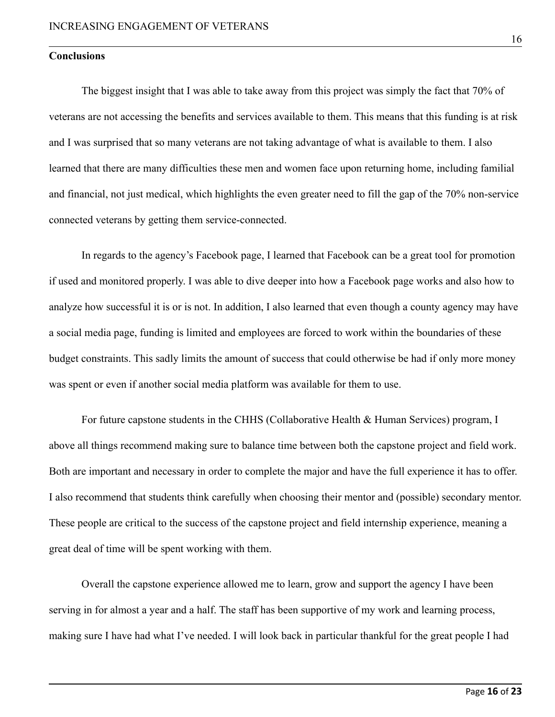#### **Conclusions**

The biggest insight that I was able to take away from this project was simply the fact that 70% of veterans are not accessing the benefits and services available to them. This means that this funding is at risk and I was surprised that so many veterans are not taking advantage of what is available to them. I also learned that there are many difficulties these men and women face upon returning home, including familial and financial, not just medical, which highlights the even greater need to fill the gap of the 70% non-service connected veterans by getting them service-connected.

In regards to the agency's Facebook page, I learned that Facebook can be a great tool for promotion if used and monitored properly. I was able to dive deeper into how a Facebook page works and also how to analyze how successful it is or is not. In addition, I also learned that even though a county agency may have a social media page, funding is limited and employees are forced to work within the boundaries of these budget constraints. This sadly limits the amount of success that could otherwise be had if only more money was spent or even if another social media platform was available for them to use.

For future capstone students in the CHHS (Collaborative Health & Human Services) program, I above all things recommend making sure to balance time between both the capstone project and field work. Both are important and necessary in order to complete the major and have the full experience it has to offer. I also recommend that students think carefully when choosing their mentor and (possible) secondary mentor. These people are critical to the success of the capstone project and field internship experience, meaning a great deal of time will be spent working with them.

Overall the capstone experience allowed me to learn, grow and support the agency I have been serving in for almost a year and a half. The staff has been supportive of my work and learning process, making sure I have had what I've needed. I will look back in particular thankful for the great people I had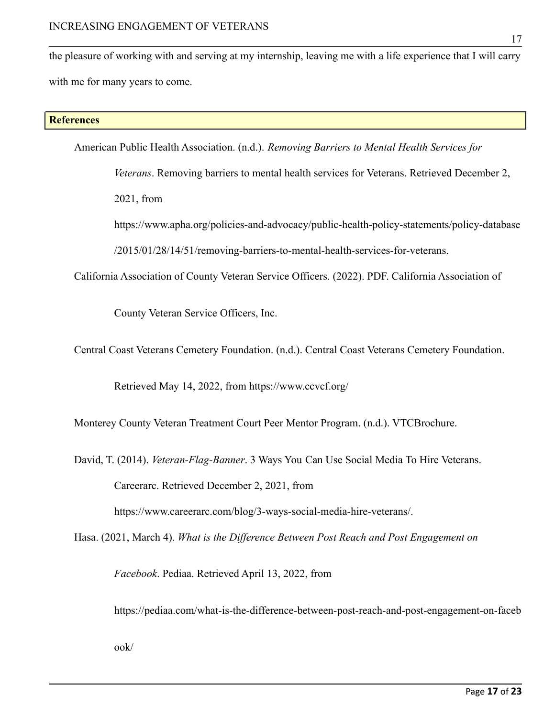the pleasure of working with and serving at my internship, leaving me with a life experience that I will carry with me for many years to come.

#### **References**

American Public Health Association. (n.d.). *Removing Barriers to Mental Health Services for*

*Veterans*. Removing barriers to mental health services for Veterans. Retrieved December 2, 2021, from

https://www.apha.org/policies-and-advocacy/public-health-policy-statements/policy-database /2015/01/28/14/51/removing-barriers-to-mental-health-services-for-veterans.

California Association of County Veteran Service Officers. (2022). PDF. California Association of

County Veteran Service Officers, Inc.

Central Coast Veterans Cemetery Foundation. (n.d.). Central Coast Veterans Cemetery Foundation.

Retrieved May 14, 2022, from https://www.ccvcf.org/

Monterey County Veteran Treatment Court Peer Mentor Program. (n.d.). VTCBrochure.

David, T. (2014). *Veteran-Flag-Banner*. 3 Ways You Can Use Social Media To Hire Veterans. Careerarc. Retrieved December 2, 2021, from

https://www.careerarc.com/blog/3-ways-social-media-hire-veterans/.

Hasa. (2021, March 4). *What is the Difference Between Post Reach and Post Engagement on*

*Facebook*. Pediaa. Retrieved April 13, 2022, from

https://pediaa.com/what-is-the-difference-between-post-reach-and-post-engagement-on-faceb

17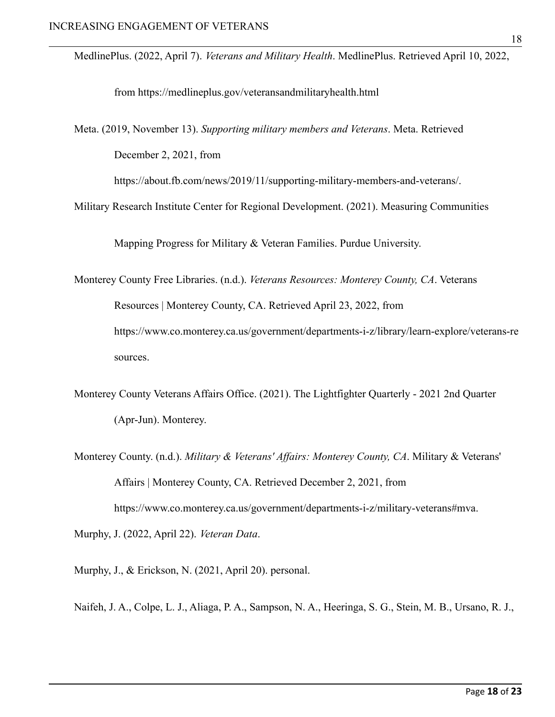MedlinePlus. (2022, April 7). *Veterans and Military Health*. MedlinePlus. Retrieved April 10, 2022,

from https://medlineplus.gov/veteransandmilitaryhealth.html

Meta. (2019, November 13). *Supporting military members and Veterans*. Meta. Retrieved December 2, 2021, from

https://about.fb.com/news/2019/11/supporting-military-members-and-veterans/.

Military Research Institute Center for Regional Development. (2021). Measuring Communities

Mapping Progress for Military & Veteran Families. Purdue University.

Monterey County Free Libraries. (n.d.). *Veterans Resources: Monterey County, CA*. Veterans Resources | Monterey County, CA. Retrieved April 23, 2022, from https://www.co.monterey.ca.us/government/departments-i-z/library/learn-explore/veterans-re sources.

- Monterey County Veterans Affairs Office. (2021). The Lightfighter Quarterly 2021 2nd Quarter (Apr-Jun). Monterey.
- Monterey County. (n.d.). *Military & Veterans' Affairs: Monterey County, CA*. Military & Veterans' Affairs | Monterey County, CA. Retrieved December 2, 2021, from https://www.co.monterey.ca.us/government/departments-i-z/military-veterans#mva. Murphy, J. (2022, April 22). *Veteran Data*.

Murphy, J., & Erickson, N. (2021, April 20). personal.

Naifeh, J. A., Colpe, L. J., Aliaga, P. A., Sampson, N. A., Heeringa, S. G., Stein, M. B., Ursano, R. J.,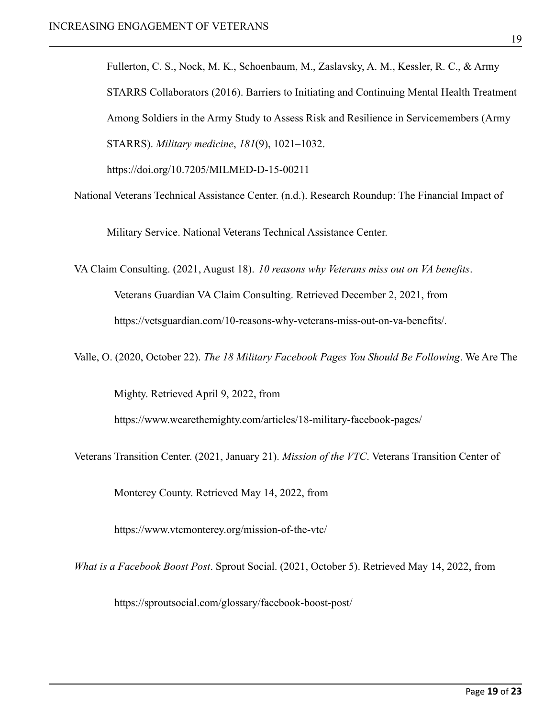Fullerton, C. S., Nock, M. K., Schoenbaum, M., Zaslavsky, A. M., Kessler, R. C., & Army STARRS Collaborators (2016). Barriers to Initiating and Continuing Mental Health Treatment Among Soldiers in the Army Study to Assess Risk and Resilience in Servicemembers (Army STARRS). *Military medicine*, *181*(9), 1021–1032.

https://doi.org/10.7205/MILMED-D-15-00211

National Veterans Technical Assistance Center. (n.d.). Research Roundup: The Financial Impact of

Military Service. National Veterans Technical Assistance Center.

VA Claim Consulting. (2021, August 18). *10 reasons why Veterans miss out on VA benefits*. Veterans Guardian VA Claim Consulting. Retrieved December 2, 2021, from https://vetsguardian.com/10-reasons-why-veterans-miss-out-on-va-benefits/.

Valle, O. (2020, October 22). *The 18 Military Facebook Pages You Should Be Following*. We Are The

Mighty. Retrieved April 9, 2022, from

https://www.wearethemighty.com/articles/18-military-facebook-pages/

Veterans Transition Center. (2021, January 21). *Mission of the VTC*. Veterans Transition Center of

Monterey County. Retrieved May 14, 2022, from

https://www.vtcmonterey.org/mission-of-the-vtc/

*What is a Facebook Boost Post*. Sprout Social. (2021, October 5). Retrieved May 14, 2022, from

https://sproutsocial.com/glossary/facebook-boost-post/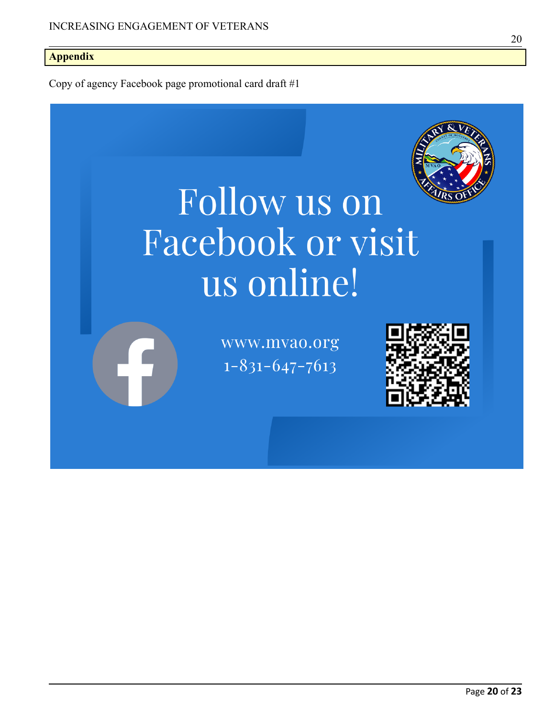#### **Appendix**

Copy of agency Facebook page promotional card draft #1

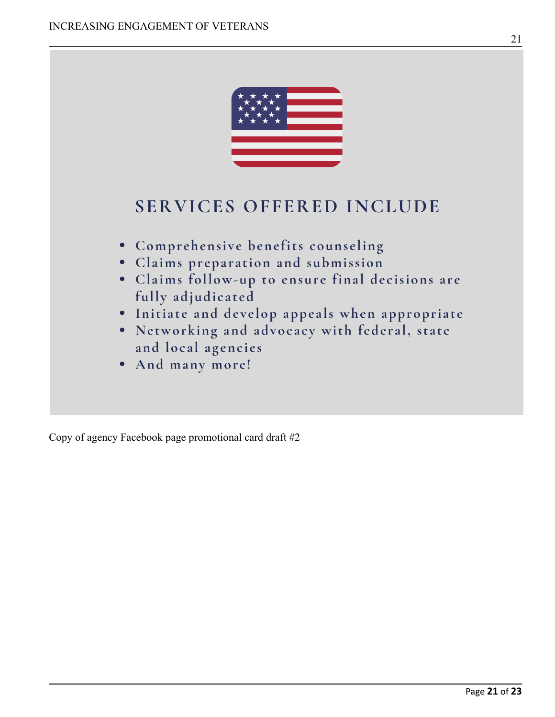

Copy of agency Facebook page promotional card draft #2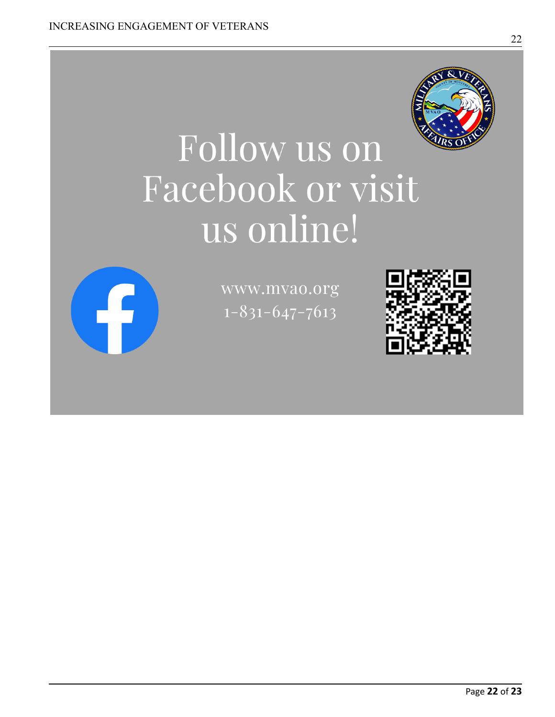

# Follow us on Facebook or visit us online!



www.mvao.org  $1 - 831 - 647 - 7613$